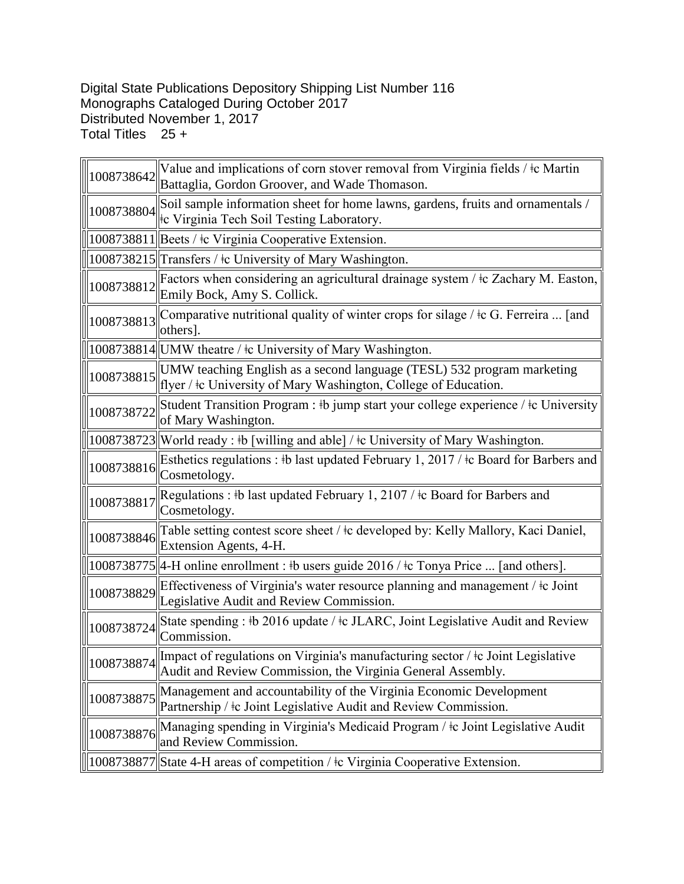## Digital State Publications Depository Shipping List Number 116 Monographs Cataloged During October 2017 Distributed November 1, 2017 Total Titles 25 +

| 1008738642 | Value and implications of corn stover removal from Virginia fields / ‡c Martin<br>Battaglia, Gordon Groover, and Wade Thomason.                |
|------------|------------------------------------------------------------------------------------------------------------------------------------------------|
| 1008738804 | Soil sample information sheet for home lawns, gardens, fruits and ornamentals /<br>te Virginia Tech Soil Testing Laboratory.                   |
|            | 1008738811 Beets / ‡c Virginia Cooperative Extension.                                                                                          |
|            | 1008738215  Transfers / ‡c University of Mary Washington.                                                                                      |
| 1008738812 | Factors when considering an agricultural drainage system / $\pm c$ Zachary M. Easton,<br>Emily Bock, Amy S. Collick.                           |
| 1008738813 | Comparative nutritional quality of winter crops for silage / $\pm$ c G. Ferreira  [and<br>others].                                             |
|            | 1008738814 UMW theatre / ‡c University of Mary Washington.                                                                                     |
| 1008738815 | UMW teaching English as a second language (TESL) 532 program marketing<br>flyer / ‡c University of Mary Washington, College of Education.      |
| 1008738722 | Student Transition Program : #b jump start your college experience / #c University<br>of Mary Washington.                                      |
|            | 1008738723 World ready: #b [willing and able] / #c University of Mary Washington.                                                              |
| 1008738816 | Esthetics regulations : #b last updated February 1, 2017 / $\pm$ c Board for Barbers and<br>Cosmetology.                                       |
| 1008738817 | Regulations : #b last updated February 1, 2107 / $\pm$ c Board for Barbers and<br>Cosmetology.                                                 |
| 1008738846 | Table setting contest score sheet / $\pm c$ developed by: Kelly Mallory, Kaci Daniel,<br>Extension Agents, 4-H.                                |
|            | 1008738775  4-H online enrollment : #b users guide 2016 / #c Tonya Price  [and others].                                                        |
| 1008738829 | Effectiveness of Virginia's water resource planning and management / ‡c Joint<br>Legislative Audit and Review Commission.                      |
| 1008738724 | State spending : #b 2016 update / $\pm$ c JLARC, Joint Legislative Audit and Review<br>Commission.                                             |
| 1008738874 | Impact of regulations on Virginia's manufacturing sector / ‡c Joint Legislative<br>Audit and Review Commission, the Virginia General Assembly. |
| 1008738875 | Management and accountability of the Virginia Economic Development<br>Partnership / ‡c Joint Legislative Audit and Review Commission.          |
| 1008738876 | Managing spending in Virginia's Medicaid Program / ‡c Joint Legislative Audit<br>and Review Commission.                                        |
|            | 1008738877 State 4-H areas of competition / ‡c Virginia Cooperative Extension.                                                                 |

<u> 1989 - Johann Stoff, deutscher Stoffen und der Stoffen und der Stoffen und der Stoffen und der Stoffen und der </u>